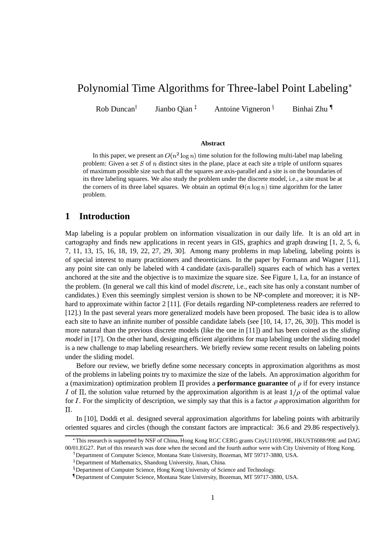# Polynomial Time Algorithms for Three-label Point Labeling

Rob Duncan Jianbo Oian<sup> $<sup>‡</sup>$ </sup></sup>

Antoine Vigneron

Binhai Zhu

#### **Abstract**

In this paper, we present an  $O(n^2 \log n)$  time solution for the following multi-label map labeling problem: Given a set  $S$  of  $n$  distinct sites in the plane, place at each site a triple of uniform squares of maximum possible size such that all the squares are axis-parallel and a site is on the boundaries of its three labeling squares. We also study the problem under the discrete model, i.e., a site must be at the corners of its three label squares. We obtain an optimal  $\Theta(n \log n)$  time algorithm for the latter problem.

## **1 Introduction**

Map labeling is a popular problem on information visualization in our daily life. It is an old art in cartography and finds new applications in recent years in GIS, graphics and graph drawing [1, 2, 5, 6, 7, 11, 13, 15, 16, 18, 19, 22, 27, 29, 30]. Among many problems in map labeling, labeling points is of special interest to many practitioners and theoreticians. In the paper by Formann and Wagner [11], any point site can only be labeled with 4 candidate (axis-parallel) squares each of which has a vertex anchored at the site and the objective is to maximize the square size. See Figure 1, I.a, for an instance of the problem. (In general we call this kind of model *discrete*, i.e., each site has only a constant number of candidates.) Even this seemingly simplest version is shown to be NP-complete and moreover; it is NPhard to approximate within factor 2 [11]. (For details regarding NP-completeness readers are referred to [12].) In the past several years more generalized models have been proposed. The basic idea is to allow each site to have an infinite number of possible candidate labels (see [10, 14, 17, 26, 30]). This model is more natural than the previous discrete models (like the one in [11]) and has been coined as the *sliding model* in [17]. On the other hand, designing efficient algorithms for map labeling under the sliding model is a new challenge to map labeling researchers. We briefly review some recent results on labeling points under the sliding model.

Before our review, we briefly define some necessary concepts in approximation algorithms as most of the problems in labeling points try to maximize the size of the labels. An approximation algorithm for a (maximization) optimization problem  $\Pi$  provides a **performance guarantee** of  $\rho$  if for every instance I of  $\Pi$ , the solution value returned by the approximation algorithm is at least  $1/\rho$  of the optimal value for *I*. For the simplicity of description, we simply say that this is a factor  $\rho$  approximation algorithm for  $\Pi$ .

In [10], Doddi et al. designed several approximation algorithms for labeling points with arbitrarily oriented squares and circles (though the constant factors are impractical: 36.6 and 29.86 respectively).

This research is supported by NSF of China, Hong Kong RGC CERG grants CityU1103/99E, HKUST6088/99E and DAG 00/01.EG27. Part of this research was done when the second and the fourth author were with City University of Hong Kong.

 Department of Computer Science, Montana State University, Bozeman, MT 59717-3880, USA.

<sup>!</sup> Department of Mathematics, Shandong University, Jinan, China.

<sup>&</sup>lt;sup>§</sup> Department of Computer Science, Hong Kong University of Science and Technology.

<sup>#</sup> Department of Computer Science, Montana State University, Bozeman, MT 59717-3880, USA.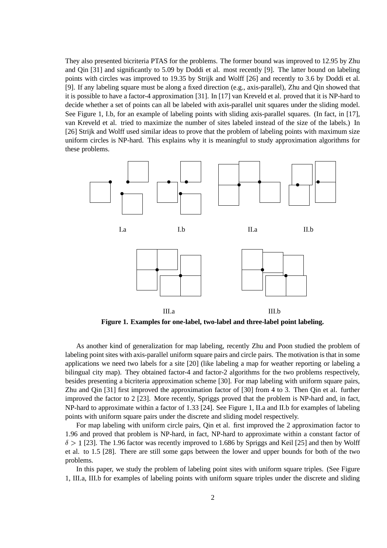They also presented bicriteria PTAS for the problems. The former bound was improved to 12.95 by Zhu and Qin [31] and significantly to 5.09 by Doddi et al. most recently [9]. The latter bound on labeling points with circles was improved to 19.35 by Strijk and Wolff [26] and recently to 3.6 by Doddi et al. [9]. If any labeling square must be along a fixed direction (e.g., axis-parallel), Zhu and Qin showed that it is possible to have a factor-4 approximation [31]. In [17] van Kreveld et al. proved that it is NP-hard to decide whether a set of points can all be labeled with axis-parallel unit squares under the sliding model. See Figure 1, I.b, for an example of labeling points with sliding axis-parallel squares. (In fact, in [17], van Kreveld et al. tried to maximize the number of sites labeled instead of the size of the labels.) In [26] Strijk and Wolff used similar ideas to prove that the problem of labeling points with maximum size uniform circles is NP-hard. This explains why it is meaningful to study approximation algorithms for these problems.



**Figure 1. Examples for one-label, two-label and three-label point labeling.**

As another kind of generalization for map labeling, recently Zhu and Poon studied the problem of labeling point sites with axis-parallel uniform square pairs and circle pairs. The motivation is that in some applications we need two labels for a site [20] (like labeling a map for weather reporting or labeling a bilingual city map). They obtained factor-4 and factor-2 algorithms for the two problems respectively, besides presenting a bicriteria approximation scheme [30]. For map labeling with uniform square pairs, Zhu and Qin [31] first improved the approximation factor of [30] from 4 to 3. Then Qin et al. further improved the factor to 2 [23]. More recently, Spriggs proved that the problem is NP-hard and, in fact, NP-hard to approximate within a factor of 1.33 [24]. See Figure 1, II.a and II.b for examples of labeling points with uniform square pairs under the discrete and sliding model respectively.

For map labeling with uniform circle pairs, Qin et al. first improved the 2 approximation factor to 1.96 and proved that problem is NP-hard, in fact, NP-hard to approximate within a constant factor of  $\delta > 1$  [23]. The 1.96 factor was recently improved to 1.686 by Spriggs and Keil [25] and then by Wolff et al. to 1.5 [28]. There are still some gaps between the lower and upper bounds for both of the two problems.

In this paper, we study the problem of labeling point sites with uniform square triples. (See Figure 1, III.a, III.b for examples of labeling points with uniform square triples under the discrete and sliding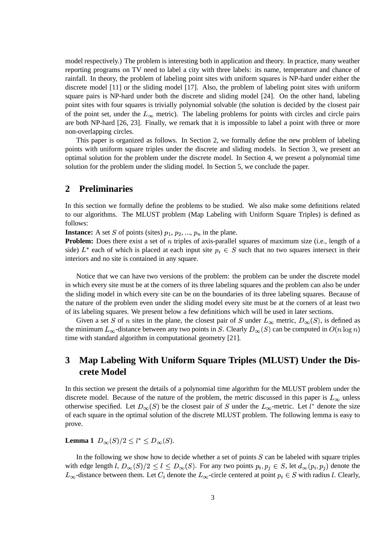model respectively.) The problem is interesting both in application and theory. In practice, many weather reporting programs on TV need to label a city with three labels: its name, temperature and chance of rainfall. In theory, the problem of labeling point sites with uniform squares is NP-hard under either the discrete model [11] or the sliding model [17]. Also, the problem of labeling point sites with uniform square pairs is NP-hard under both the discrete and sliding model [24]. On the other hand, labeling point sites with four squares is trivially polynomial solvable (the solution is decided by the closest pair of the point set, under the  $L_{\infty}$  metric). The labeling problems for points with circles and circle pairs are both NP-hard [26, 23]. Finally, we remark that it is impossible to label a point with three or more non-overlapping circles.

This paper is organized as follows. In Section 2, we formally define the new problem of labeling points with uniform square triples under the discrete and sliding models. In Section 3, we present an optimal solution for the problem under the discrete model. In Section 4, we present a polynomial time solution for the problem under the sliding model. In Section 5, we conclude the paper.

## **2 Preliminaries**

In this section we formally define the problems to be studied. We also make some definitions related to our algorithms. The MLUST problem (Map Labeling with Uniform Square Triples) is defined as follows:

**Instance:** A set S of points (sites)  $p_1, p_2, ..., p_n$  in the plane.

**Problem:** Does there exist a set of *n* triples of axis-parallel squares of maximum size (i.e., length of a side)  $L^*$  each of which is placed at each input site  $p_i \in S$  such that no two squares intersect in their interiors and no site is contained in any square.

Notice that we can have two versions of the problem: the problem can be under the discrete model in which every site must be at the corners of its three labeling squares and the problem can also be under the sliding model in which every site can be on the boundaries of its three labeling squares. Because of the nature of the problem even under the sliding model every site must be at the corners of at least two of its labeling squares. We present below a few definitions which will be used in later sections.

Given a set S of n sites in the plane, the closest pair of S under  $L_{\infty}$  metric,  $D_{\infty}(S)$ , is defined as the minimum  $L_{\infty}$ -distance between any two points in S. Clearly  $D_{\infty}(S)$  can be computed in  $O(n \log n)$ time with standard algorithm in computational geometry [21].

## **3 Map Labeling With Uniform Square Triples (MLUST) Under the Discrete Model**

In this section we present the details of a polynomial time algorithm for the MLUST problem under the discrete model. Because of the nature of the problem, the metric discussed in this paper is  $L_{\infty}$  unless otherwise specified. Let  $D_{\infty}(S)$  be the closest pair of S under the  $L_{\infty}$ -metric. Let  $l^*$  denote the size of each square in the optimal solution of the discrete MLUST problem. The following lemma is easy to prove.

**Lemma 1**  $D_{\infty}(S)/2 \le l^* \le D_{\infty}(S)$ .

In the following we show how to decide whether a set of points  $S$  can be labeled with square triples with edge length l,  $D_{\infty}(S)/2 \leq l \leq D_{\infty}(S)$ . For any two points  $p_i, p_j \in S$ , let  $d_{\infty}(p_i, p_j)$  denote the  $L_{\infty}$ -distance between them. Let  $C_i$  denote the  $L_{\infty}$ -circle centered at point  $p_i \in S$  with radius *l*. Clearly,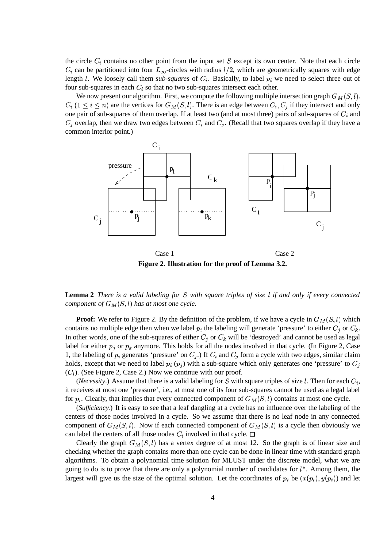the circle  $C_i$  contains no other point from the input set  $S$  except its own center. Note that each circle  $C_i$  can be partitioned into four  $L_{\infty}$ -circles with radius  $l/2$ , which are geometrically squares with edge length *l*. We loosely call them *sub-squares* of  $C_i$ . Basically, to label  $p_i$  we need to select three out of four sub-squares in each  $C_i$  so that no two sub-squares intersect each other.

We now present our algorithm. First, we compute the following multiple intersection graph  $G_M(S, l)$ .  $C_i$   $(1 \leq i \leq n)$  are the vertices for  $G_M(S, l)$ . There is an edge between  $C_i, C_j$  if they intersect and only one pair of sub-squares of them overlap. If at least two (and at most three) pairs of sub-squares of  $C_i$  and  $C_i$  overlap, then we draw two edges between  $C_i$  and  $C_j$ . (Recall that two squares overlap if they have a common interior point.)



**Figure 2. Illustration for the proof of Lemma 3.2.**

**Lemma 2** There is a valid labeling for S with square triples of size l if and only if every connected *component of*  $G_M(S, l)$  *has at most one cycle.* 

**Proof:** We refer to Figure 2. By the definition of the problem, if we have a cycle in  $G_M(S, l)$  which contains no multiple edge then when we label  $p_i$  the labeling will generate 'pressure' to either  $C_i$  or  $C_k$ . In other words, one of the sub-squares of either  $C_j$  or  $C_k$  will be 'destroyed' and cannot be used as legal label for either  $p_i$  or  $p_k$  anymore. This holds for all the nodes involved in that cycle. (In Figure 2, Case 1, the labeling of  $p_i$  generates 'pressure' on  $C_j$ .) If  $C_i$  and  $C_j$  form a cycle with two edges, similar claim holds, except that we need to label  $p_i$  ( $p_j$ ) with a sub-square which only generates one 'pressure' to  $C_j$  $(C_i)$ . (See Figure 2, Case 2.) Now we continue with our proof.

(*Necessity*.) Assume that there is a valid labeling for S with square triples of size l. Then for each  $C_i$ , it receives at most one 'pressure', i.e., at most one of its four sub-squares cannot be used as a legal label for  $p_i$ . Clearly, that implies that every connected component of  $G_M(S, l)$  contains at most one cycle.

(*Sufficiency.*) It is easy to see that a leaf dangling at a cycle has no influence over the labeling of the centers of those nodes involved in a cycle. So we assume that there is no leaf node in any connected component of  $G_M(S, l)$ . Now if each connected component of  $G_M(S, l)$  is a cycle then obviously we can label the centers of all those nodes  $C_i$  involved in that cycle.  $\Box$ 

Clearly the graph  $G<sub>M</sub>(S, l)$  has a vertex degree of at most 12. So the graph is of linear size and checking whether the graph contains more than one cycle can be done in linear time with standard graph algorithms. To obtain a polynomial time solution for MLUST under the discrete model, what we are going to do is to prove that there are only a polynomial number of candidates for  $l^*$ . Among them, the largest will give us the size of the optimal solution. Let the coordinates of  $p_i$  be  $(x(p_i), y(p_i))$  and let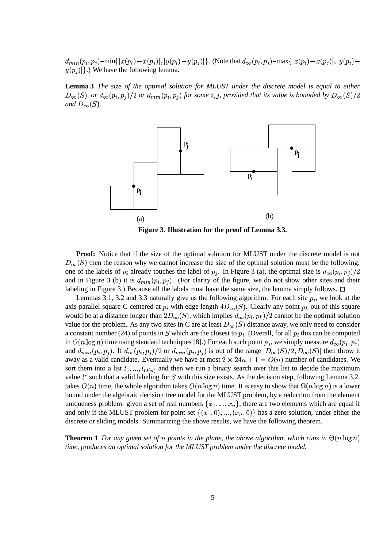$d_{min}(p_i,p_j)$ =min $\{ |x|$ :6  632 and the contract of the contract of / and the contract of the contract of  $y(p_i)-y(p_j)|$ }. (Note that  $d_{\infty}(p_i,p_j)$ =max $\{|x(p_i)-x(p_j)|,|y(j)|\}$  67  $y(p_i)$ . We have the following lemma.

**Lemma 3** *The size of the optimal solution for MLUST under the discrete model is equal to either*  $D_{\infty}(S)$ , or  $d_{\infty}(p_i, p_j)/2$  or  $d_{min}(p_i, p_j)$  for some i, j, provided that its value is bounded by  $D_{\infty}(S)/2$ *and*  $D_{\infty}(S)$ *.* 



**Figure 3. Illustration for the proof of Lemma 3.3.**

**Proof:** Notice that if the size of the optimal solution for MLUST under the discrete model is not  $D_{\infty}(S)$  then the reason why we cannot increase the size of the optimal solution must be the following: one of the labels of  $p_i$  already touches the label of  $p_j$ . In Figure 3 (a), the optimal size is  $d_{\infty}(p_i, p_j)/2$ and in Figure 3 (b) it is  $d_{min}(p_i, p_j)$ . (For clarity of the figure, we do not show other sites and their labeling in Figure 3.) Because all the labels must have the same size, the lemma simply follows.  $\Box$ 

Lemmas 3.1, 3.2 and 3.3 naturally give us the following algorithm. For each site  $p_i$ , we look at the axis-parallel square C centered at  $p_i$  with edge length  $4D_{\infty}(S)$ . Clearly any point  $p_k$  out of this square would be at a distance longer than  $2D_{\infty}(S)$ , which implies  $d_{\infty}(p_i, p_k)/2$  cannot be the optimal solution value for the problem. As any two sites in C are at least  $D_{\infty}(S)$  distance away, we only need to consider a constant number (24) of points in S which are the closest to  $p_i$ . (Overall, for all  $p_i$  this can be computed in  $O(n \log n)$  time using standard techniques [8].) For each such point  $p_j$ , we simply measure  $d_{\infty}(p_i, p_j)$ and  $d_{min}(p_i, p_j)$ . If  $d_{\infty}(p_i, p_j)/2$  or  $d_{min}(p_i, p_j)$  is out of the range  $[D_{\infty}(S)/2, D_{\infty}(S)]$  then throw it away as a valid candidate. Eventually we have at most  $2 \times 24n + 1 = O(n)$  number of candidates. We sort them into a list  $l_1, ..., l_{O(n)}$  and then we run a binary search over this list to decide the maximum value  $l^*$  such that a valid labeling for S with this size exists. As the decision step, following Lemma 3.2, takes  $O(n)$  time, the whole algorithm takes  $O(n \log n)$  time. It is easy to show that  $\Omega(n \log n)$  is a lower bound under the algebraic decision tree model for the MLUST problem, by a reduction from the element uniqueness problem: given a set of real numbers  $\{x_1, ..., x_n\}$ , there are two elements which are equal if and only if the MLUST problem for point set  $\{(x_1, 0), ..., (x_n, 0)\}$  has a zero solution, under either the discrete or sliding models. Summarizing the above results, we have the following theorem.

**Theorem 1** For any given set of n points in the plane, the above algorithm, which runs in  $\Theta(n \log n)$ *time, produces an optimal solution for the MLUST problem under the discrete model.*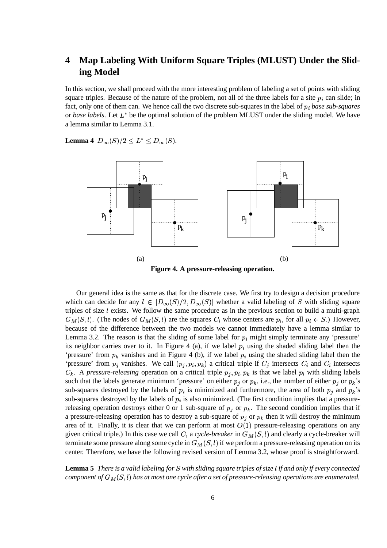## **4 Map Labeling With Uniform Square Triples (MLUST) Under the Sliding Model**

In this section, we shall proceed with the more interesting problem of labeling a set of points with sliding square triples. Because of the nature of the problem, not all of the three labels for a site  $p_i$  can slide; in fact, only one of them can. We hence call the two discrete sub-squares in the label of  $p_i$  base sub-squares or *base labels*. Let  $L^*$  be the optimal solution of the problem MLUST under the sliding model. We have a lemma similar to Lemma 3.1.

**Lemma** 4  $D_{\infty}(S)/2 \le L^* \le D_{\infty}(S)$ .



Our general idea is the same as that for the discrete case. We first try to design a decision procedure which can decide for any  $l \in [D_{\infty}(S)/2, D_{\infty}(S)]$  whether a valid labeling of S with sliding square triples of size  $l$  exists. We follow the same procedure as in the previous section to build a multi-graph  $G_M(S, l)$ . (The nodes of  $G_M(S, l)$  are the squares  $C_i$  whose centers are  $p_i$ , for all  $p_i \in S$ .) However, because of the difference between the two models we cannot immediately have a lemma similar to Lemma 3.2. The reason is that the sliding of some label for  $p_i$  might simply terminate any 'pressure' its neighbor carries over to it. In Figure 4 (a), if we label  $p_i$  using the shaded sliding label then the 'pressure' from  $p_k$  vanishes and in Figure 4 (b), if we label  $p_i$  using the shaded sliding label then the 'pressure' from  $p_i$  vanishes. We call  $(p_i, p_i, p_k)$  a critical triple if  $C_i$  intersects  $C_i$  and  $C_i$  intersects  $C_k$ . A *pressure-releasing* operation on a critical triple  $p_j, p_i, p_k$  is that we label  $p_i$  with sliding labels such that the labels generate minimum 'pressure' on either  $p_i$  or  $p_k$ , i.e., the number of either  $p_i$  or  $p_k$ 's sub-squares destroyed by the labels of  $p_i$  is minimized and furthermore, the area of both  $p_i$  and  $p_k$ 's sub-squares destroyed by the labels of  $p_i$  is also minimized. (The first condition implies that a pressurereleasing operation destroys either 0 or 1 sub-square of  $p_j$  or  $p_k$ . The second condition implies that if a pressure-releasing operation has to destroy a sub-square of  $p_i$  or  $p_k$  then it will destroy the minimum area of it. Finally, it is clear that we can perform at most  $O(1)$  pressure-releasing operations on any given critical triple.) In this case we call  $C_i$  a *cycle-breaker* in  $G_M(S, l)$  and clearly a cycle-breaker will terminate some pressure along some cycle in  $G<sub>M</sub>(S, l)$  if we perform a pressure-releasing operation on its center. Therefore, we have the following revised version of Lemma 3.2, whose proof is straightforward.

**Lemma 5** There is a valid labeling for S with sliding square triples of size l if and only if every connected *component of*  $G_M(S, l)$  *has at most one cycle after a set of pressure-releasing operations are enumerated.*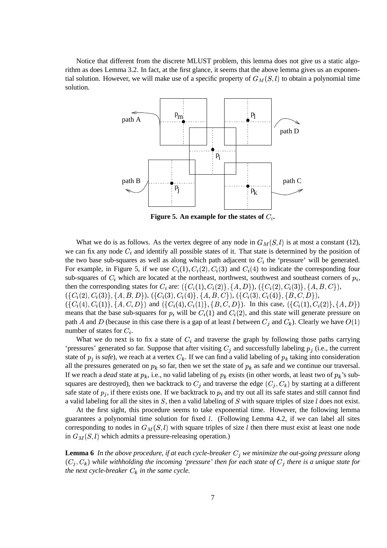Notice that different from the discrete MLUST problem, this lemma does not give us a static algorithm as does Lemma 3.2. In fact, at the first glance, it seems that the above lemma gives us an exponential solution. However, we will make use of a specific property of  $G<sub>M</sub>(S, l)$  to obtain a polynomial time solution.



**Figure 5. An example for the states of**  $C_i$ **.** 

What we do is as follows. As the vertex degree of any node in  $G<sub>M</sub>(S, l)$  is at most a constant (12), we can fix any node  $C_i$  and identify all possible states of it. That state is determined by the position of the two base sub-squares as well as along which path adjacent to  $C_i$  the 'pressure' will be generated. For example, in Figure 5, if we use  $C_i(1), C_i(2), C_i(3)$  and  $C_i(4)$  to indicate the corresponding four sub-squares of  $C_i$  which are located at the northeast, northwest, southwest and southeast corners of  $p_i$ , then the corresponding states for  $C_i$  are:  $({C_i}(1), C_i(2), {A, D}), ({C_i}(2), C_i(3), {A, B, C}),$  $(\{C_i(2), C_i(3)\}, \{A, B, D\}), (\{C_i(3), C_i(4)\}, \{A, B, C\}), (\{C_i(3), C_i(4)\}, \{B, C, D\}),$  $\}$ ),  $({C_i}(4), C_i(1)), {A, C, D}$  and  $({C_i}(4), C_i(1)), {B, C, D}$ . In this case, }). In this case,  $({C_i}(1), C_i(2), {A, D})$  $\mathbf{r}$  and  $\mathbf{r}$ means that the base sub-squares for  $p_i$  will be  $C_i(1)$  and  $C_i(2)$ , and this state will generate pressure on path A and D (because in this case there is a gap of at least l between  $C_i$  and  $C_k$ ). Clearly we have  $O(1)$ number of states for  $C_i$ .

What we do next is to fix a state of  $C_i$  and traverse the graph by following those paths carrying 'pressures' generated so far. Suppose that after visiting  $C_j$  and successfully labeling  $p_j$  (i.e., the current state of  $p_i$  is *safe*), we reach at a vertex  $C_k$ . If we can find a valid labeling of  $p_k$  taking into consideration all the pressures generated on  $p_k$  so far, then we set the state of  $p_k$  as safe and we continue our traversal. If we reach a *dead* state at  $p_k$ , i.e., no valid labeling of  $p_k$  exists (in other words, at least two of  $p_k$ 's subsquares are destroyed), then we backtrack to  $C_j$  and traverse the edge  $(C_j, C_k)$  by starting at a different safe state of  $p_j$ , if there exists one. If we backtrack to  $p_i$  and try out all its safe states and still cannot find a valid labeling for all the sites in  $S$ , then a valid labeling of  $S$  with square triples of size  $l$  does not exist.

At the first sight, this procedure seems to take exponential time. However, the following lemma guarantees a polynomial time solution for fixed *l*. (Following Lemma 4.2, if we can label all sites corresponding to nodes in  $G<sub>M</sub>(S, l)$  with square triples of size l then there must exist at least one node in  $G<sub>M</sub>(S, l)$  which admits a pressure-releasing operation.)

**Lemma 6** In the above procedure, if at each cycle-breaker  $C_i$  we minimize the out-going pressure along  $(C_j, C_k)$  while withholding the *incoming* 'pressure' then for each state of  $C_j$  there is a unique state for *the next cycle-breaker*  $C_k$  *in the same cycle.*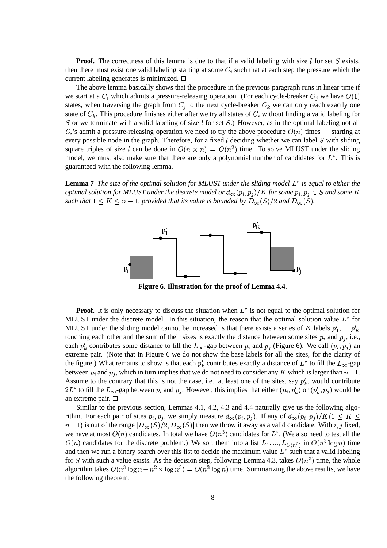**Proof.** The correctness of this lemma is due to that if a valid labeling with size  $l$  for set  $S$  exists, then there must exist one valid labeling starting at some  $C_i$  such that at each step the pressure which the current labeling generates is minimized.  $\square$ 

The above lemma basically shows that the procedure in the previous paragraph runs in linear time if we start at a  $C_i$  which admits a pressure-releasing operation. (For each cycle-breaker  $C_j$  we have  $O(1)$ states, when traversing the graph from  $C_j$  to the next cycle-breaker  $C_k$  we can only reach exactly one state of  $C_k$ . This procedure finishes either after we try all states of  $C_i$  without finding a valid labeling for S or we terminate with a valid labeling of size  $l$  for set  $S$ .) However, as in the optimal labeling not all  $C_i$ 's admit a pressure-releasing operation we need to try the above procedure  $O(n)$  times — starting at every possible node in the graph. Therefore, for a fixed l deciding whether we can label  $S$  with sliding square triples of size l can be done in  $O(n \times n) = O(n^2)$  time. To solve MLUST under the sliding model, we must also make sure that there are only a polynomial number of candidates for  $L^*$ . This is guaranteed with the following lemma.

**Lemma 7** The size of the optimal solution for MLUST under the sliding model  $L^*$  is equal to either the *optimal solution for MLUST under the discrete model or*  $d_{\infty}(p_i, p_j) / K$  *for some*  $p_i, p_j \in S$  *and some* K such that  $1 \leq K \leq n-1$ , provided that its value is bounded by  $D_{\infty}(S)/2$  and  $D_{\infty}(S)$ .



**Figure 6. Illustration for the proof of Lemma 4.4.**

**Proof.** It is only necessary to discuss the situation when  $L^*$  is not equal to the optimal solution for MLUST under the discrete model. In this situation, the reason that the optimal solution value  $L^*$  for MLUST under the sliding model cannot be increased is that there exists a series of K labels  $p'_1, ..., p'_K$ touching each other and the sum of their sizes is exactly the distance between some sites  $p_i$  and  $p_j$ , i.e., each  $p'_k$  contributes some distance to fill the  $L_{\infty}$ -gap between  $p_i$  and  $p_j$  (Figure 6). We call  $(p_i, p_j)$  and extreme pair. (Note that in Figure 6 we do not show the base labels for all the sites, for the clarity of the figure.) What remains to show is that each  $p'_k$  contributes exactly a distance of  $L^*$  to fill the  $L_\infty$ -gap between  $p_i$  and  $p_j$ , which in turn implies that we do not need to consider any K which is larger than  $n-1$ . Assume to the contrary that this is not the case, i.e., at least one of the sites, say  $p'_k$ , would contribute  $2L^*$  to fill the  $L_\infty$ -gap between  $p_i$  and  $p_j$ . However, this implies that either  $(p_i, p'_k)$  or  $(p'_k, p_j)$  would be an extreme pair.

Similar to the previous section, Lemmas 4.1, 4.2, 4.3 and 4.4 naturally give us the following algorithm. For each pair of sites  $p_i, p_j$ , we simply measure  $d_{\infty}(p_i, p_j)$ . If any of  $d_{\infty}(p_i, p_j)/K(1 \leq K \leq$  $(n-1)$  is out of the range  $[D_{\infty}(S)/2, D_{\infty}(S)]$  then we throw it away as a valid candidate. With i, j fixed, we have at most  $O(n)$  candidates. In total we have  $O(n^3)$  candidates for  $L^*$ . (We also need to test all the  $O(n)$  candidates for the discrete problem.) We sort them into a list  $L_1, ..., L_{O(n^3)}$  in  $O(n^3 \log n)$  time and then we run a binary search over this list to decide the maximum value  $L^*$  such that a valid labeling for S with such a value exists. As the decision step, following Lemma 4.3, takes  $O(n^2)$  time, the whole algorithm takes  $O(n^3 \log n + n^2 \times \log n^3) = O(n^3 \log n)$  time. Summarizing the above results, we have the following theorem.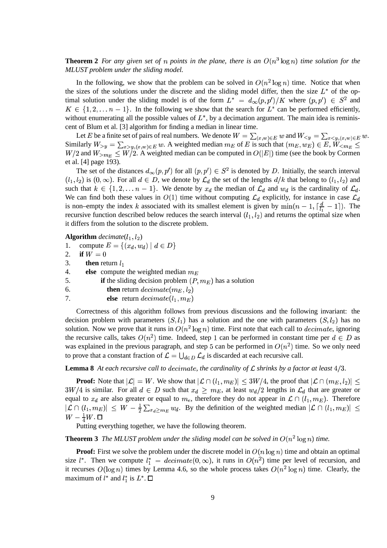### **Theorem 2** For any given set of n points in the plane, there is an  $O(n^3 \log n)$  time solution for the *MLUST problem under the sliding model.*

In the following, we show that the problem can be solved in  $O(n^2 \log n)$  time. Notice that when the sizes of the solutions under the discrete and the sliding model differ, then the size  $L^*$  of the optimal solution under the sliding model is of the form  $L^* = d_{\infty}(p, p')/K$  where  $(p, p') \in S^2$  and \_\_ \_ \_ \_ \_ \_ \_ \_ \_ \_ \_  $\{1, 2, \ldots n-1\}$ . In the following we show that the search for  $L^*$  can be performed efficiently, without enumerating all the possible values of  $L^*$ , by a decimation argument. The main idea is reminiscent of Blum et al. [3] algorithm for finding a median in linear time.

Let E be a finite set of pairs of real numbers. We denote  $W = \sum_{(x,w)\in E} w$  and  $W_{\leq y} = \sum_{x\leq y, (x,w)\in E} w$ . Similarly  $W_{\geq v} = \sum_{x \geq u, (x, w) \in E} w$ . A weighted median  $m_E$  of E is such that  $(m_E, w_E) \in E$ ,  $W_{\leq m_E} \leq$  $W/2$  and  $W_{>m_E} \leq W/2$ . A weighted median can be computed in  $O(|E|)$  time (see the book by Cormen et al. [4] page 193).

The set of the distances  $d_{\infty}(p, p')$  for all  $(p, p') \in S^2$  is denoted by D. Initially, the search interval  $(l_1, l_2)$  is  $(0, \infty)$ . For all  $d \in D$ , we denote by  $\mathcal{L}_d$  the set of the lengths  $d/k$  that belong to  $(l_1, l_2)$  and such that  $k \in \{1, 2, \ldots n-1\}$ . We denote by  $x_d$  the median of  $\mathcal{L}_d$  and  $w_d$  is the cardinality of  $\mathcal{L}_d$ . We can find both these values in  $O(1)$  time without computing  $\mathcal{L}_d$  explicitly, for instance in case  $\mathcal{L}_d$ is non–empty the index k associated with its smallest element is given by  $\min(n-1, \lceil \frac{d}{l_1} - 1 \rceil)$ . The recursive function described below reduces the search interval  $(l_1, l_2)$  and returns the optimal size when it differs from the solution to the discrete problem.

**Algorithm** *decimate*( $l_1$ , $l_2$ )

1. compute  $E = \{(x_d, w_d) | d \in$ - '\$ / \$ . . 5 and the contract of the contract of the contract of the contract of the contract of the contract of the contract of

- 2. **if**  $W = 0$
- 3. **then** return  $l_1$
- 4. **else** compute the weighted median  $m_E$
- 5. **if** the sliding decision problem  $(P, m<sub>E</sub>)$  has a solution
- 6. **then** return  $decimate(m_E, l_2)$
- 7. **else** return  $decimate(l_1, m_E)$

Correctness of this algorithm follows from previous discussions and the following invariant: the decision problem with parameters  $(S, l_1)$  has a solution and the one with parameters  $(S, l_2)$  has no solution. Now we prove that it runs in  $O(n^2 \log n)$  time. First note that each call to  $decimate$ , ignoring the recursive calls, takes  $O(n^2)$  time. Indeed, step 1 can be performed in constant time per  $d \in D$  as was explained in the previous paragraph, and step 5 can be performed in  $O(n^2)$  time. So we only need to prove that a constant fraction of  $\mathcal{L} = \bigcup_{d \in D} \mathcal{L}_d$  is discarded at each recursive call.

#### **Lemma 8** At each recursive call to decimate, the cardinality of  $\mathcal L$  shrinks by a factor at least  $4/3$ .

**Proof:** Note that  $|\mathcal{L}| = W$ . We sh  $= W$ . We show that  $|\mathcal{L} \cap (l_1, m_E)| \leq 3W/4$ ,  $\leq 3W/4$ , the proof that  $|\mathcal{L} \cap (m_E, l_2)| \leq$  $3W/4$  is similar. For all  $d \in D$  such that  $x_d \ge m_E$ , at least  $w_d/2$  lengths in  $\mathcal{L}_d$  that are greater or equal to  $x_d$  are also greater or equal to  $m_e$ , therefore they do not appear in  $\mathcal{L} \cap (l_1, m_E)$ . Therefore  $|\mathcal{L} \cap (l_1, m_E)| \leq W - \frac{1}{2} \sum_{x \in \geq m_F} w_d$ . By the definition of the weighted median  $|\mathcal{L} \cap (l_1, m_E)| \leq$  $W-\frac{1}{4}W$  .  $\square$ 

Putting everything together, we have the following theorem.

**Theorem 3** The MLUST problem under the sliding model can be solved in  $O(n^2 \log n)$  time.

**Proof:** First we solve the problem under the discrete model in  $O(n \log n)$  time and obtain an optimal size  $l^*$ . Then we compute  $l_1^* = decimate(0, \infty)$ , it runs in  $O(n^2)$  time per level of recursion, and it recurses  $O(\log n)$  times by Lemma 4.6, so the whole process takes  $O(n^2 \log n)$  time. Clearly, the maximum of  $l^*$  and  $l_1^*$  is  $L^*$ .  $\square$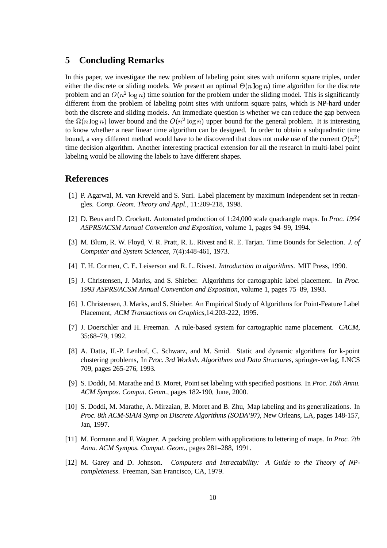### **5 Concluding Remarks**

In this paper, we investigate the new problem of labeling point sites with uniform square triples, under either the discrete or sliding models. We present an optimal  $\Theta(n \log n)$  time algorithm for the discrete problem and an  $O(n^2 \log n)$  time solution for the problem under the sliding model. This is significantly different from the problem of labeling point sites with uniform square pairs, which is NP-hard under both the discrete and sliding models. An immediate question is whether we can reduce the gap between the  $\Omega(n \log n)$  lower bound and the  $O(n^2 \log n)$  upper bound for the general problem. It is interesting to know whether a near linear time algorithm can be designed. In order to obtain a subquadratic time bound, a very different method would have to be discovered that does not make use of the current  $O(n^2)$ time decision algorithm. Another interesting practical extension for all the research in multi-label point labeling would be allowing the labels to have different shapes.

### **References**

- [1] P. Agarwal, M. van Kreveld and S. Suri. Label placement by maximum independent set in rectangles. *Comp. Geom. Theory and Appl.,* 11:209-218, 1998.
- [2] D. Beus and D. Crockett. Automated production of 1:24,000 scale quadrangle maps. In *Proc. 1994 ASPRS/ACSM Annual Convention and Exposition*, volume 1, pages 94–99, 1994.
- [3] M. Blum, R. W. Floyd, V. R. Pratt, R. L. Rivest and R. E. Tarjan. Time Bounds for Selection. *J. of Computer and System Sciences*, 7(4):448-461, 1973.
- [4] T. H. Cormen, C. E. Leiserson and R. L. Rivest. *Introduction to algorithms.* MIT Press, 1990.
- [5] J. Christensen, J. Marks, and S. Shieber. Algorithms for cartographic label placement. In *Proc. 1993 ASPRS/ACSM Annual Convention and Exposition*, volume 1, pages 75–89, 1993.
- [6] J. Christensen, J. Marks, and S. Shieber. An Empirical Study of Algorithms for Point-Feature Label Placement, *ACM Transactions on Graphics,*14:203-222, 1995.
- [7] J. Doerschler and H. Freeman. A rule-based system for cartographic name placement. *CACM*, 35:68–79, 1992.
- [8] A. Datta, II.-P. Lenhof, C. Schwarz, and M. Smid. Static and dynamic algorithms for k-point clustering problems, In *Proc. 3rd Worksh. Algorithms and Data Structures,* springer-verlag, LNCS 709, pages 265-276, 1993.
- [9] S. Doddi, M. Marathe and B. Moret, Point set labeling with specified positions. In *Proc. 16th Annu. ACM Sympos. Comput. Geom.*, pages 182-190, June, 2000.
- [10] S. Doddi, M. Marathe, A. Mirzaian, B. Moret and B. Zhu, Map labeling and its generalizations. In *Proc. 8th ACM-SIAM Symp on Discrete Algorithms (SODA'97)*, New Orleans, LA, pages 148-157, Jan, 1997.
- [11] M. Formann and F. Wagner. A packing problem with applications to lettering of maps. In *Proc. 7th Annu. ACM Sympos. Comput. Geom.*, pages 281–288, 1991.
- [12] M. Garey and D. Johnson. *Computers and Intractability: A Guide to the Theory of NPcompleteness*. Freeman, San Francisco, CA, 1979.